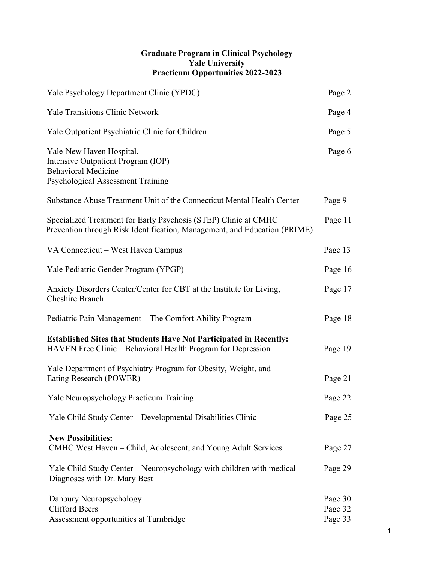### **Graduate Program in Clinical Psychology Yale University Practicum Opportunities 2022-2023**

| Yale Psychology Department Clinic (YPDC)                                                                                                     | Page 2                        |
|----------------------------------------------------------------------------------------------------------------------------------------------|-------------------------------|
| <b>Yale Transitions Clinic Network</b>                                                                                                       | Page 4                        |
| Yale Outpatient Psychiatric Clinic for Children                                                                                              | Page 5                        |
| Yale-New Haven Hospital,<br>Intensive Outpatient Program (IOP)<br><b>Behavioral Medicine</b><br>Psychological Assessment Training            | Page 6                        |
| Substance Abuse Treatment Unit of the Connecticut Mental Health Center                                                                       | Page 9                        |
| Specialized Treatment for Early Psychosis (STEP) Clinic at CMHC<br>Prevention through Risk Identification, Management, and Education (PRIME) | Page 11                       |
| VA Connecticut - West Haven Campus                                                                                                           | Page 13                       |
| Yale Pediatric Gender Program (YPGP)                                                                                                         | Page 16                       |
| Anxiety Disorders Center/Center for CBT at the Institute for Living,<br><b>Cheshire Branch</b>                                               | Page 17                       |
| Pediatric Pain Management – The Comfort Ability Program                                                                                      | Page 18                       |
| <b>Established Sites that Students Have Not Participated in Recently:</b><br>HAVEN Free Clinic – Behavioral Health Program for Depression    | Page 19                       |
| Yale Department of Psychiatry Program for Obesity, Weight, and<br>Eating Research (POWER)                                                    | Page 21                       |
| Yale Neuropsychology Practicum Training                                                                                                      | Page 22                       |
| Yale Child Study Center – Developmental Disabilities Clinic                                                                                  | Page 25                       |
| <b>New Possibilities:</b><br>CMHC West Haven – Child, Adolescent, and Young Adult Services                                                   | Page 27                       |
| Yale Child Study Center – Neuropsychology with children with medical<br>Diagnoses with Dr. Mary Best                                         | Page 29                       |
| Danbury Neuropsychology<br><b>Clifford Beers</b><br>Assessment opportunities at Turnbridge                                                   | Page 30<br>Page 32<br>Page 33 |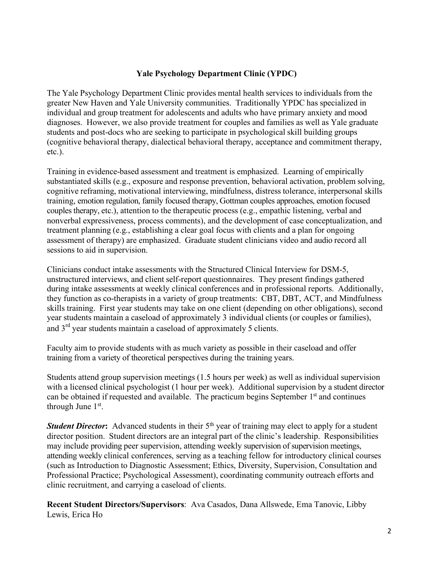### **Yale Psychology Department Clinic (YPDC)**

The Yale Psychology Department Clinic provides mental health services to individuals from the greater New Haven and Yale University communities. Traditionally YPDC has specialized in individual and group treatment for adolescents and adults who have primary anxiety and mood diagnoses. However, we also provide treatment for couples and families as well as Yale graduate students and post-docs who are seeking to participate in psychological skill building groups (cognitive behavioral therapy, dialectical behavioral therapy, acceptance and commitment therapy, etc.).

Training in evidence-based assessment and treatment is emphasized. Learning of empirically substantiated skills (e.g., exposure and response prevention, behavioral activation, problem solving, cognitive reframing, motivational interviewing, mindfulness, distress tolerance, interpersonal skills training, emotion regulation, family focused therapy, Gottman couples approaches, emotion focused couples therapy, etc.), attention to the therapeutic process (e.g., empathic listening, verbal and nonverbal expressiveness, process comments), and the development of case conceptualization, and treatment planning (e.g., establishing a clear goal focus with clients and a plan for ongoing assessment of therapy) are emphasized. Graduate student clinicians video and audio record all sessions to aid in supervision.

Clinicians conduct intake assessments with the Structured Clinical Interview for DSM-5, unstructured interviews, and client self-report questionnaires. They present findings gathered during intake assessments at weekly clinical conferences and in professional reports. Additionally, they function as co-therapists in a variety of group treatments: CBT, DBT, ACT, and Mindfulness skills training. First year students may take on one client (depending on other obligations), second year students maintain a caseload of approximately 3 individual clients (or couples or families), and 3rd year students maintain a caseload of approximately 5 clients.

Faculty aim to provide students with as much variety as possible in their caseload and offer training from a variety of theoretical perspectives during the training years.

Students attend group supervision meetings (1.5 hours per week) as well as individual supervision with a licensed clinical psychologist (1 hour per week). Additional supervision by a student director can be obtained if requested and available. The practicum begins September 1<sup>st</sup> and continues through June 1st.

*Student Director***:** Advanced students in their 5<sup>th</sup> year of training may elect to apply for a student director position. Student directors are an integral part of the clinic's leadership. Responsibilities may include providing peer supervision, attending weekly supervision of supervision meetings, attending weekly clinical conferences, serving as a teaching fellow for introductory clinical courses (such as Introduction to Diagnostic Assessment; Ethics, Diversity, Supervision, Consultation and Professional Practice; Psychological Assessment), coordinating community outreach efforts and clinic recruitment, and carrying a caseload of clients.

**Recent Student Directors/Supervisors**: Ava Casados, Dana Allswede, Ema Tanovic, Libby Lewis, Erica Ho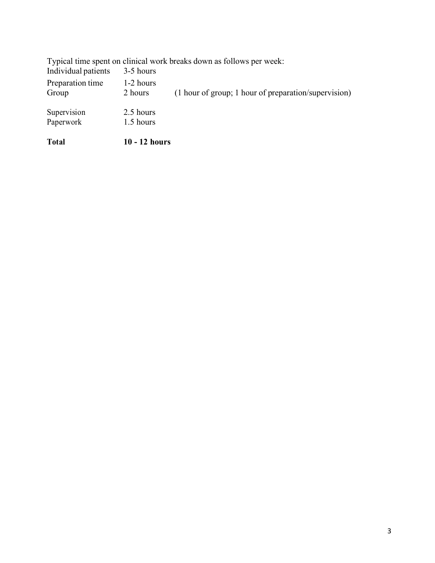| <b>Total</b>        | 10 - 12 hours |                                                                      |
|---------------------|---------------|----------------------------------------------------------------------|
| Paperwork           | 1.5 hours     |                                                                      |
| Supervision         | 2.5 hours     |                                                                      |
| Group               | 2 hours       | (1 hour of group; 1 hour of preparation/supervision)                 |
| Preparation time    | 1-2 hours     |                                                                      |
| Individual patients | 3-5 hours     |                                                                      |
|                     |               | Typical time spent on clinical work breaks down as follows per week: |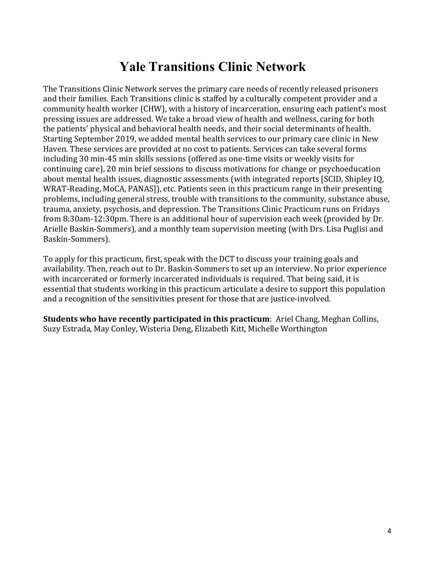# **Yale Transitions Clinic Network**

The Transitions Clinic Network serves the primary care needs of recently released prisoners and their families. Each Transitions clinic is staffed by a culturally competent provider and a community health worker (CHW), with a history of incarceration, ensuring each patient's most pressing issues are addressed. We take a broad view of health and wellness, caring for both the patients' physical and behavioral health needs, and their social determinants of health. Starting September 2019, we added mental health services to our primary care clinic in New Haven. These services are provided at no cost to patients. Services can take several forms including 30 min-45 min skills sessions (offered as one-time visits or weekly visits for continuing care), 20 min brief sessions to discuss motivations for change or psychoeducation about mental health issues, diagnostic assessments (with integrated reports [SCID, Shipley IQ, WRAT-Reading, MoCA, PANAS]), etc. Patients seen in this practicum range in their presenting problems, including general stress, trouble with transitions to the community, substance abuse, trauma, anxiety, psychosis, and depression. The Transitions Clinic Practicum runs on Fridays from 8:30am-12:30pm. There is an additional hour of supervision each week (provided by Dr. Arielle Baskin-Sommers), and a monthly team supervision meeting (with Drs. Lisa Puglisi and Baskin-Sommers).

To apply for this practicum, first, speak with the DCT to discuss your training goals and availability. Then, reach out to Dr. Baskin-Sommers to set up an interview. No prior experience with incarcerated or formerly incarcerated individuals is required. That being said, it is essential that students working in this practicum articulate a desire to support this population and a recognition of the sensitivities present for those that are justice-involved.

**Students who have recently participated in this practicum:** Ariel Chang, Meghan Collins, Suzy Estrada, May Conley, Wisteria Deng, Elizabeth Kitt, Michelle Worthington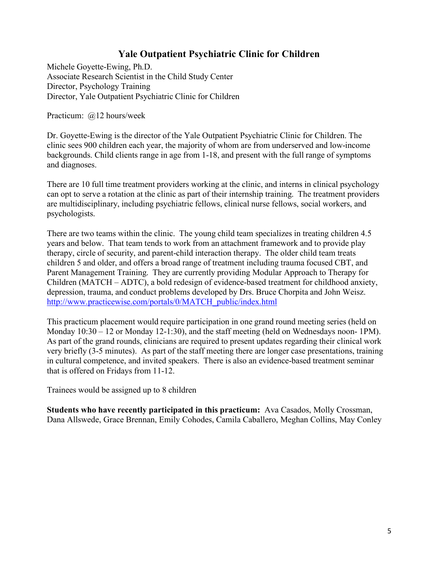# **Yale Outpatient Psychiatric Clinic for Children**

Michele Goyette-Ewing, Ph.D. Associate Research Scientist in the Child Study Center Director, Psychology Training Director, Yale Outpatient Psychiatric Clinic for Children

Practicum: @12 hours/week

Dr. Goyette-Ewing is the director of the Yale Outpatient Psychiatric Clinic for Children. The clinic sees 900 children each year, the majority of whom are from underserved and low-income backgrounds. Child clients range in age from 1-18, and present with the full range of symptoms and diagnoses.

There are 10 full time treatment providers working at the clinic, and interns in clinical psychology can opt to serve a rotation at the clinic as part of their internship training. The treatment providers are multidisciplinary, including psychiatric fellows, clinical nurse fellows, social workers, and psychologists.

There are two teams within the clinic. The young child team specializes in treating children 4.5 years and below. That team tends to work from an attachment framework and to provide play therapy, circle of security, and parent-child interaction therapy. The older child team treats children 5 and older, and offers a broad range of treatment including trauma focused CBT, and Parent Management Training. They are currently providing Modular Approach to Therapy for Children (MATCH – ADTC), a bold redesign of evidence-based treatment for childhood anxiety, depression, trauma, and conduct problems developed by Drs. Bruce Chorpita and John Weisz. http://www.practicewise.com/portals/0/MATCH\_public/index.html

This practicum placement would require participation in one grand round meeting series (held on Monday 10:30 – 12 or Monday 12-1:30), and the staff meeting (held on Wednesdays noon- 1PM). As part of the grand rounds, clinicians are required to present updates regarding their clinical work very briefly (3-5 minutes). As part of the staff meeting there are longer case presentations, training in cultural competence, and invited speakers. There is also an evidence-based treatment seminar that is offered on Fridays from 11-12.

Trainees would be assigned up to 8 children

**Students who have recently participated in this practicum:** Ava Casados, Molly Crossman, Dana Allswede, Grace Brennan, Emily Cohodes, Camila Caballero, Meghan Collins, May Conley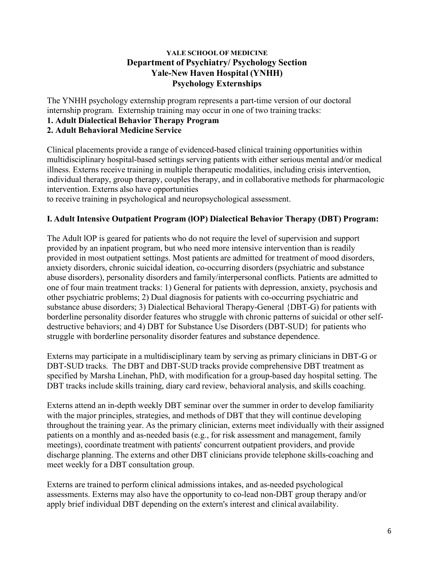### **YALE SCHOOLOF MEDICINE Department of Psychiatry/ Psychology Section Yale-New Haven Hospital (YNHH) Psychology Externships**

The YNHH psychology externship program represents a part-time version of our doctoral internship program. Externship training may occur in one of two training tracks:

**1. Adult Dialectical Behavior Therapy Program**

# **2. Adult Behavioral Medicine Service**

Clinical placements provide a range of evidenced-based clinical training opportunities within multidisciplinary hospital-based settings serving patients with either serious mental and/or medical illness. Externs receive training in multiple therapeutic modalities, including crisis intervention, individual therapy, group therapy, couples therapy, and in collaborative methods for pharmacologic intervention. Externs also have opportunities

to receive training in psychological and neuropsychological assessment.

# **I. Adult Intensive Outpatient Program (lOP) Dialectical Behavior Therapy (DBT) Program:**

The Adult lOP is geared for patients who do not require the level of supervision and support provided by an inpatient program, but who need more intensive intervention than is readily provided in most outpatient settings. Most patients are admitted for treatment of mood disorders, anxiety disorders, chronic suicidal ideation, co-occurring disorders (psychiatric and substance abuse disorders), personality disorders and family/interpersonal conflicts. Patients are admitted to one of four main treatment tracks: 1) General for patients with depression, anxiety, psychosis and other psychiatric problems; 2) Dual diagnosis for patients with co-occurring psychiatric and substance abuse disorders; 3) Dialectical Behavioral Therapy-General {DBT-G) for patients with borderline personality disorder features who struggle with chronic patterns of suicidal or other selfdestructive behaviors; and 4) DBT for Substance Use Disorders (DBT-SUD} for patients who struggle with borderline personality disorder features and substance dependence.

Externs may participate in a multidisciplinary team by serving as primary clinicians in DBT-G or DBT-SUD tracks. The DBT and DBT-SUD tracks provide comprehensive DBT treatment as specified by Marsha Linehan, PhD, with modification for a group-based day hospital setting. The DBT tracks include skills training, diary card review, behavioral analysis, and skills coaching.

Externs attend an in-depth weekly DBT seminar over the summer in order to develop familiarity with the major principles, strategies, and methods of DBT that they will continue developing throughout the training year. As the primary clinician, externs meet individually with their assigned patients on a monthly and as-needed basis (e.g., for risk assessment and management, family meetings), coordinate treatment with patients' concurrent outpatient providers, and provide discharge planning. The externs and other DBT clinicians provide telephone skills-coaching and meet weekly for a DBT consultation group.

Externs are trained to perform clinical admissions intakes, and as-needed psychological assessments. Externs may also have the opportunity to co-lead non-DBT group therapy and/or apply brief individual DBT depending on the extern's interest and clinical availability.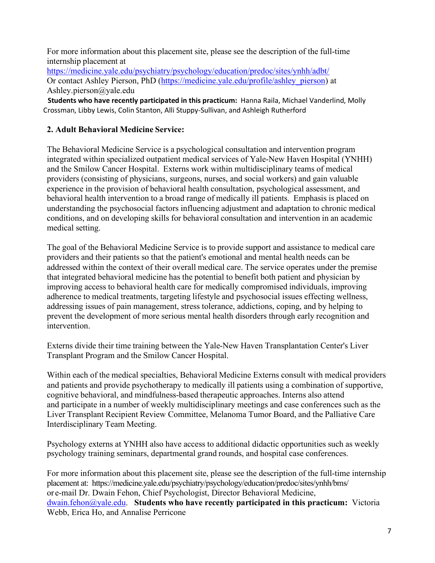For more information about this placement site, please see the description of the full-time internship placement at

https://medicine.yale.edu/psychiatry/psychology/education/predoc/sites/ynhh/adbt/ Or contact Ashley Pierson, PhD (https://medicine.yale.edu/profile/ashley\_pierson) at Ashley.pierson@yale.edu

 **Students who have recently participated in this practicum:** Hanna Raila, Michael Vanderlind, Molly Crossman, Libby Lewis, Colin Stanton, Alli Stuppy-Sullivan, and Ashleigh Rutherford

# **2. Adult Behavioral Medicine Service:**

The Behavioral Medicine Service is a psychological consultation and intervention program integrated within specialized outpatient medical services of Yale-New Haven Hospital (YNHH) and the Smilow Cancer Hospital. Externs work within multidisciplinary teams of medical providers (consisting of physicians, surgeons, nurses, and social workers) and gain valuable experience in the provision of behavioral health consultation, psychological assessment, and behavioral health intervention to a broad range of medically ill patients. Emphasis is placed on understanding the psychosocial factors influencing adjustment and adaptation to chronic medical conditions, and on developing skills for behavioral consultation and intervention in an academic medical setting.

The goal of the Behavioral Medicine Service is to provide support and assistance to medical care providers and their patients so that the patient's emotional and mental health needs can be addressed within the context of their overall medical care. The service operates under the premise that integrated behavioral medicine has the potential to benefit both patient and physician by improving access to behavioral health care for medically compromised individuals, improving adherence to medical treatments, targeting lifestyle and psychosocial issues effecting wellness, addressing issues of pain management, stress tolerance, addictions, coping, and by helping to prevent the development of more serious mental health disorders through early recognition and intervention.

Externs divide their time training between the Yale-New Haven Transplantation Center's Liver Transplant Program and the Smilow Cancer Hospital.

Within each of the medical specialties, Behavioral Medicine Externs consult with medical providers and patients and provide psychotherapy to medically ill patients using a combination of supportive, cognitive behavioral, and mindfulness-based therapeutic approaches. Interns also attend and participate in a number of weekly multidisciplinary meetings and case conferences such as the Liver Transplant Recipient Review Committee, Melanoma Tumor Board, and the Palliative Care Interdisciplinary Team Meeting.

Psychology externs at YNHH also have access to additional didactic opportunities such as weekly psychology training seminars, departmental grand rounds, and hospital case conferences.

For more information about this placement site, please see the description of the full-time internship placement at: https://medicine.yale.edu/psychiatry/psychology/education/predoc/sites/ynhh/bms/ or e-mail Dr. Dwain Fehon, Chief Psychologist, Director Behavioral Medicine, dwain.fehon@yale.edu. **Students who have recently participated in this practicum:** Victoria Webb, Erica Ho, and Annalise Perricone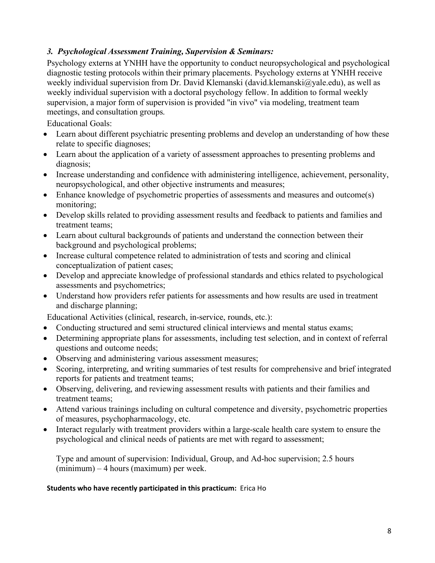# *3. Psychological Assessment Training, Supervision & Seminars:*

Psychology externs at YNHH have the opportunity to conduct neuropsychological and psychological diagnostic testing protocols within their primary placements. Psychology externs at YNHH receive weekly individual supervision from Dr. David Klemanski (david.klemanski@yale.edu), as well as weekly individual supervision with a doctoral psychology fellow. In addition to formal weekly supervision, a major form of supervision is provided "in vivo" via modeling, treatment team meetings, and consultation groups.

Educational Goals:

- Learn about different psychiatric presenting problems and develop an understanding of how these relate to specific diagnoses;
- Learn about the application of a variety of assessment approaches to presenting problems and diagnosis;
- Increase understanding and confidence with administering intelligence, achievement, personality, neuropsychological, and other objective instruments and measures;
- Enhance knowledge of psychometric properties of assessments and measures and outcome(s) monitoring;
- Develop skills related to providing assessment results and feedback to patients and families and treatment teams;
- Learn about cultural backgrounds of patients and understand the connection between their background and psychological problems;
- Increase cultural competence related to administration of tests and scoring and clinical conceptualization of patient cases;
- Develop and appreciate knowledge of professional standards and ethics related to psychological assessments and psychometrics;
- Understand how providers refer patients for assessments and how results are used in treatment and discharge planning;

Educational Activities (clinical, research, in-service, rounds, etc.):

- Conducting structured and semi structured clinical interviews and mental status exams;
- Determining appropriate plans for assessments, including test selection, and in context of referral questions and outcome needs;
- Observing and administering various assessment measures;
- Scoring, interpreting, and writing summaries of test results for comprehensive and brief integrated reports for patients and treatment teams;
- Observing, delivering, and reviewing assessment results with patients and their families and treatment teams;
- Attend various trainings including on cultural competence and diversity, psychometric properties of measures, psychopharmacology, etc.
- Interact regularly with treatment providers within a large-scale health care system to ensure the psychological and clinical needs of patients are met with regard to assessment;

Type and amount of supervision: Individual, Group, and Ad-hoc supervision; 2.5 hours (minimum) – 4 hours (maximum) per week.

### **Students who have recently participated in this practicum:** Erica Ho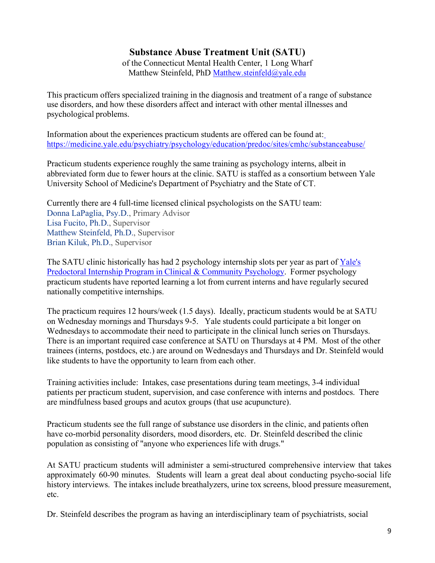# **Substance Abuse Treatment Unit (SATU)**

of the Connecticut Mental Health Center, 1 Long Wharf Matthew Steinfeld, PhD Matthew.steinfeld@yale.edu

This practicum offers specialized training in the diagnosis and treatment of a range of substance use disorders, and how these disorders affect and interact with other mental illnesses and psychological problems.

Information about the experiences practicum students are offered can be found at: https://medicine.yale.edu/psychiatry/psychology/education/predoc/sites/cmhc/substanceabuse/

Practicum students experience roughly the same training as psychology interns, albeit in abbreviated form due to fewer hours at the clinic. SATU is staffed as a consortium between Yale University School of Medicine's Department of Psychiatry and the State of CT.

Currently there are 4 full-time licensed clinical psychologists on the SATU team: Donna LaPaglia, Psy.D., Primary Advisor Lisa Fucito, Ph.D., Supervisor Matthew Steinfeld, Ph.D., Supervisor Brian Kiluk, Ph.D., Supervisor

The SATU clinic historically has had 2 psychology internship slots per year as part of Yale's Predoctoral Internship Program in Clinical & Community Psychology. Former psychology practicum students have reported learning a lot from current interns and have regularly secured nationally competitive internships.

The practicum requires 12 hours/week (1.5 days). Ideally, practicum students would be at SATU on Wednesday mornings and Thursdays 9-5. Yale students could participate a bit longer on Wednesdays to accommodate their need to participate in the clinical lunch series on Thursdays. There is an important required case conference at SATU on Thursdays at 4 PM. Most of the other trainees (interns, postdocs, etc.) are around on Wednesdays and Thursdays and Dr. Steinfeld would like students to have the opportunity to learn from each other.

Training activities include: Intakes, case presentations during team meetings, 3-4 individual patients per practicum student, supervision, and case conference with interns and postdocs. There are mindfulness based groups and acutox groups (that use acupuncture).

Practicum students see the full range of substance use disorders in the clinic, and patients often have co-morbid personality disorders, mood disorders, etc. Dr. Steinfeld described the clinic population as consisting of "anyone who experiences life with drugs."

At SATU practicum students will administer a semi-structured comprehensive interview that takes approximately 60-90 minutes. Students will learn a great deal about conducting psycho-social life history interviews. The intakes include breathalyzers, urine tox screens, blood pressure measurement, etc.

Dr. Steinfeld describes the program as having an interdisciplinary team of psychiatrists, social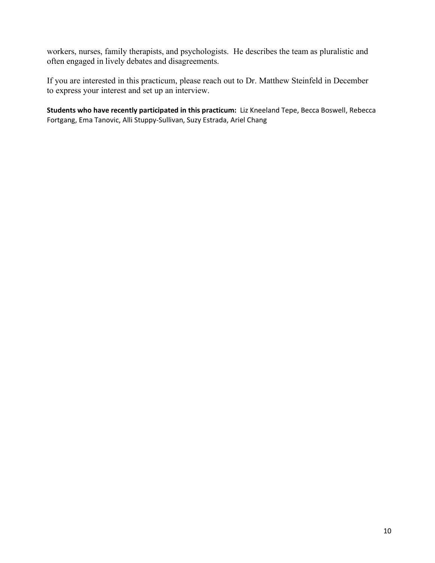workers, nurses, family therapists, and psychologists. He describes the team as pluralistic and often engaged in lively debates and disagreements.

If you are interested in this practicum, please reach out to Dr. Matthew Steinfeld in December to express your interest and set up an interview.

**Students who have recently participated in this practicum:** Liz Kneeland Tepe, Becca Boswell, Rebecca Fortgang, Ema Tanovic, Alli Stuppy-Sullivan, Suzy Estrada, Ariel Chang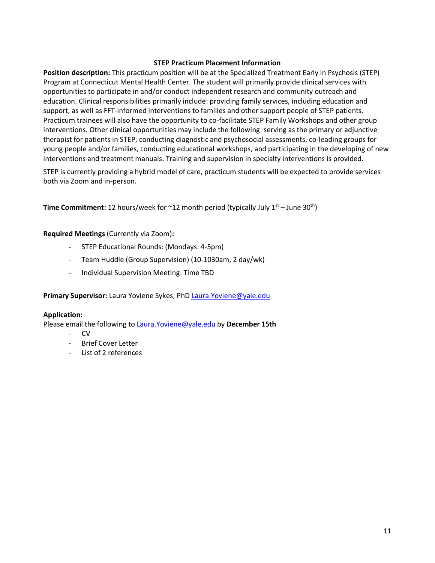### **STEP Practicum Placement Information**

**Position description:** This practicum position will be at the Specialized Treatment Early in Psychosis (STEP) Program at Connecticut Mental Health Center. The student will primarily provide clinical services with opportunities to participate in and/or conduct independent research and community outreach and education. Clinical responsibilities primarily include: providing family services, including education and support, as well as FFT-informed interventions to families and other support people of STEP patients. Practicum trainees will also have the opportunity to co-facilitate STEP Family Workshops and other group interventions. Other clinical opportunities may include the following: serving as the primary or adjunctive therapist for patients in STEP, conducting diagnostic and psychosocial assessments, co-leading groups for young people and/or families, conducting educational workshops, and participating in the developing of new interventions and treatment manuals. Training and supervision in specialty interventions is provided.

STEP is currently providing a hybrid model of care, practicum students will be expected to provide services both via Zoom and in-person.

**Time Commitment:** 12 hours/week for  $\sim$  12 month period (typically July 1<sup>st</sup> – June 30<sup>th</sup>)

### **Required Meetings** (Currently via Zoom)**:**

- STEP Educational Rounds: (Mondays: 4-5pm)
- Team Huddle (Group Supervision) (10-1030am, 2 day/wk)
- Individual Supervision Meeting: Time TBD

Primary Supervisor: Laura Yoviene Sykes, PhD Laura.Yoviene@yale.edu

### **Application:**

Please email the following to Laura.Yoviene@yale.edu by **December 15th**

- CV
- Brief Cover Letter
- List of 2 references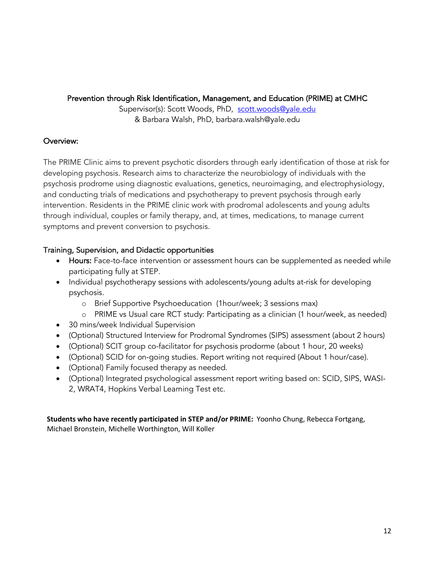### Prevention through Risk Identification, Management, and Education (PRIME) at CMHC

Supervisor(s): Scott Woods, PhD, scott.woods@yale.edu & Barbara Walsh, PhD, barbara.walsh@yale.edu

# Overview:

The PRIME Clinic aims to prevent psychotic disorders through early identification of those at risk for developing psychosis. Research aims to characterize the neurobiology of individuals with the psychosis prodrome using diagnostic evaluations, genetics, neuroimaging, and electrophysiology, and conducting trials of medications and psychotherapy to prevent psychosis through early intervention. Residents in the PRIME clinic work with prodromal adolescents and young adults through individual, couples or family therapy, and, at times, medications, to manage current symptoms and prevent conversion to psychosis.

# Training, Supervision, and Didactic opportunities

- Hours: Face-to-face intervention or assessment hours can be supplemented as needed while participating fully at STEP.
- Individual psychotherapy sessions with adolescents/young adults at-risk for developing psychosis.
	- o Brief Supportive Psychoeducation (1hour/week; 3 sessions max)
	- o PRIME vs Usual care RCT study: Participating as a clinician (1 hour/week, as needed)
- 30 mins/week Individual Supervision
- (Optional) Structured Interview for Prodromal Syndromes (SIPS) assessment (about 2 hours)
- (Optional) SCIT group co-facilitator for psychosis prodorme (about 1 hour, 20 weeks)
- (Optional) SCID for on-going studies. Report writing not required (About 1 hour/case).
- (Optional) Family focused therapy as needed.
- (Optional) Integrated psychological assessment report writing based on: SCID, SIPS, WASI-2, WRAT4, Hopkins Verbal Learning Test etc.

**Students who have recently participated in STEP and/or PRIME:** Yoonho Chung, Rebecca Fortgang, Michael Bronstein, Michelle Worthington, Will Koller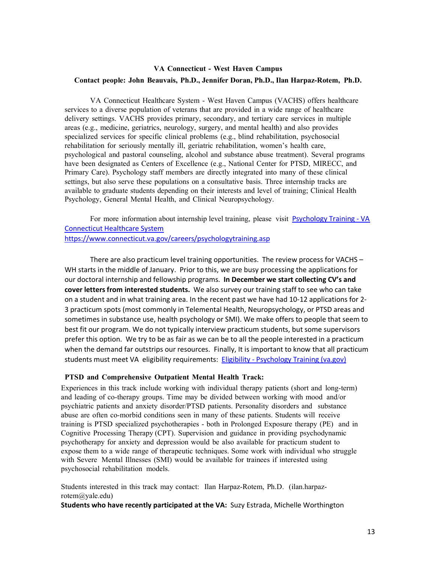### **VA Connecticut - West Haven Campus Contact people: John Beauvais, Ph.D., Jennifer Doran, Ph.D., Ilan Harpaz-Rotem, Ph.D.**

VA Connecticut Healthcare System - West Haven Campus (VACHS) offers healthcare services to a diverse population of veterans that are provided in a wide range of healthcare delivery settings. VACHS provides primary, secondary, and tertiary care services in multiple areas (e.g., medicine, geriatrics, neurology, surgery, and mental health) and also provides specialized services for specific clinical problems (e.g., blind rehabilitation, psychosocial rehabilitation for seriously mentally ill, geriatric rehabilitation, women's health care, psychological and pastoral counseling, alcohol and substance abuse treatment). Several programs have been designated as Centers of Excellence (e.g., National Center for PTSD, MIRECC, and Primary Care). Psychology staff members are directly integrated into many of these clinical settings, but also serve these populations on a consultative basis. Three internship tracks are available to graduate students depending on their interests and level of training; Clinical Health Psychology, General Mental Health, and Clinical Neuropsychology.

For more information about internship level training, please visit Psychology Training - VA Connecticut Healthcare System https://www.connecticut.va.gov/careers/psychologytraining.asp

There are also practicum level training opportunities. The review process for VACHS – WH starts in the middle of January. Prior to this, we are busy processing the applications for our doctoral internship and fellowship programs. **In December we start collecting CV's and cover letters from interested students.** We also survey our training staff to see who can take on a student and in what training area. In the recent past we have had 10-12 applications for 2- 3 practicum spots (most commonly in Telemental Health, Neuropsychology, or PTSD areas and sometimes in substance use, health psychology or SMI). We make offers to people that seem to best fit our program. We do not typically interview practicum students, but some supervisors prefer this option. We try to be as fair as we can be to all the people interested in a practicum when the demand far outstrips our resources. Finally, It is important to know that all practicum students must meet VA eligibility requirements: Eligibility - Psychology Training (va.gov)

### **PTSD and Comprehensive Outpatient Mental Health Track:**

Experiences in this track include working with individual therapy patients (short and long-term) and leading of co-therapy groups. Time may be divided between working with mood and/or psychiatric patients and anxiety disorder/PTSD patients. Personality disorders and substance abuse are often co-morbid conditions seen in many of these patients. Students will receive training is PTSD specialized psychotherapies - both in Prolonged Exposure therapy (PE) and in Cognitive Processing Therapy (CPT). Supervision and guidance in providing psychodynamic psychotherapy for anxiety and depression would be also available for practicum student to expose them to a wide range of therapeutic techniques. Some work with individual who struggle with Severe Mental Illnesses (SMI) would be available for trainees if interested using psychosocial rehabilitation models.

Students interested in this track may contact: Ilan Harpaz-Rotem, Ph.D. (ilan.harpazrotem@yale.edu)

**Students who have recently participated at the VA:** Suzy Estrada, Michelle Worthington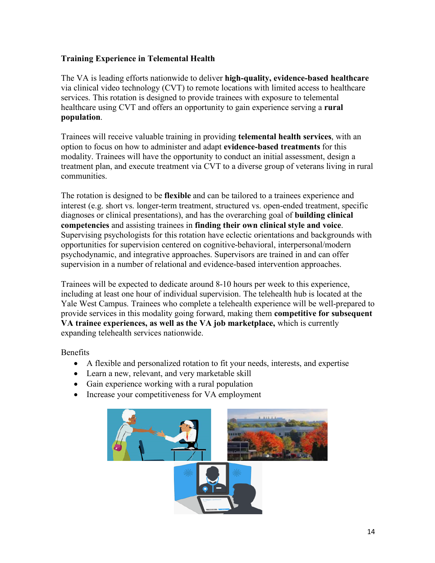# **Training Experience in Telemental Health**

The VA is leading efforts nationwide to deliver **high-quality, evidence-based healthcare** via clinical video technology (CVT) to remote locations with limited access to healthcare services. This rotation is designed to provide trainees with exposure to telemental healthcare using CVT and offers an opportunity to gain experience serving a **rural population**.

Trainees will receive valuable training in providing **telemental health services**, with an option to focus on how to administer and adapt **evidence-based treatments** for this modality. Trainees will have the opportunity to conduct an initial assessment, design a treatment plan, and execute treatment via CVT to a diverse group of veterans living in rural communities.

The rotation is designed to be **flexible** and can be tailored to a trainees experience and interest (e.g. short vs. longer-term treatment, structured vs. open-ended treatment, specific diagnoses or clinical presentations), and has the overarching goal of **building clinical competencies** and assisting trainees in **finding their own clinical style and voice**. Supervising psychologists for this rotation have eclectic orientations and backgrounds with opportunities for supervision centered on cognitive-behavioral, interpersonal/modern psychodynamic, and integrative approaches. Supervisors are trained in and can offer supervision in a number of relational and evidence-based intervention approaches.

Trainees will be expected to dedicate around 8-10 hours per week to this experience, including at least one hour of individual supervision. The telehealth hub is located at the Yale West Campus. Trainees who complete a telehealth experience will be well-prepared to provide services in this modality going forward, making them **competitive for subsequent VA trainee experiences, as well as the VA job marketplace,** which is currently expanding telehealth services nationwide.

Benefits

- A flexible and personalized rotation to fit your needs, interests, and expertise
- Learn a new, relevant, and very marketable skill
- Gain experience working with a rural population
- Increase your competitiveness for VA employment

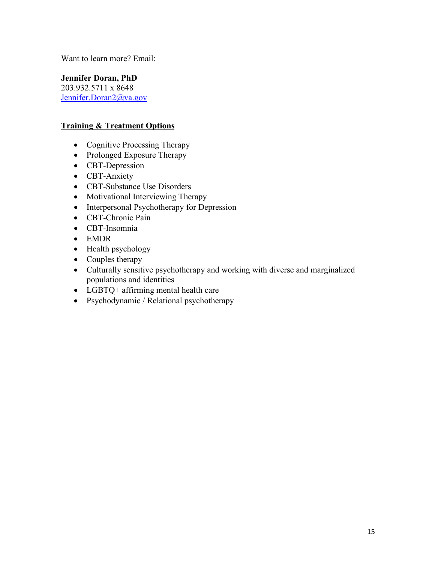Want to learn more? Email:

**Jennifer Doran, PhD** 203.932.5711 x 8648 Jennifer.Doran2@va.gov

### **Training & Treatment Options**

- Cognitive Processing Therapy
- Prolonged Exposure Therapy
- CBT-Depression
- CBT-Anxiety
- CBT-Substance Use Disorders
- Motivational Interviewing Therapy
- Interpersonal Psychotherapy for Depression
- CBT-Chronic Pain
- CBT-Insomnia
- EMDR
- Health psychology
- Couples therapy
- Culturally sensitive psychotherapy and working with diverse and marginalized populations and identities
- LGBTQ+ affirming mental health care
- Psychodynamic / Relational psychotherapy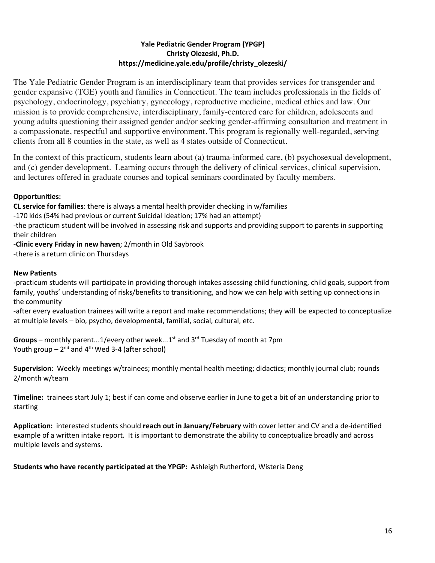### **Yale Pediatric Gender Program (YPGP) Christy Olezeski, Ph.D. https://medicine.yale.edu/profile/christy\_olezeski/**

The Yale Pediatric Gender Program is an interdisciplinary team that provides services for transgender and gender expansive (TGE) youth and families in Connecticut. The team includes professionals in the fields of psychology, endocrinology, psychiatry, gynecology, reproductive medicine, medical ethics and law. Our mission is to provide comprehensive, interdisciplinary, family-centered care for children, adolescents and young adults questioning their assigned gender and/or seeking gender-affirming consultation and treatment in a compassionate, respectful and supportive environment. This program is regionally well-regarded, serving clients from all 8 counties in the state, as well as 4 states outside of Connecticut.

In the context of this practicum, students learn about (a) trauma-informed care, (b) psychosexual development, and (c) gender development. Learning occurs through the delivery of clinical services, clinical supervision, and lectures offered in graduate courses and topical seminars coordinated by faculty members.

### **Opportunities:**

**CL service for families**: there is always a mental health provider checking in w/families

-170 kids (54% had previous or current Suicidal Ideation; 17% had an attempt)

-the practicum student will be involved in assessing risk and supports and providing support to parents in supporting their children

-**Clinic every Friday in new haven**; 2/month in Old Saybrook -there is a return clinic on Thursdays

### **New Patients**

-practicum students will participate in providing thorough intakes assessing child functioning, child goals, support from family, youths' understanding of risks/benefits to transitioning, and how we can help with setting up connections in the community

-after every evaluation trainees will write a report and make recommendations; they will be expected to conceptualize at multiple levels – bio, psycho, developmental, familial, social, cultural, etc.

**Groups** – monthly parent...1/every other week...1st and  $3^{rd}$  Tuesday of month at 7pm Youth group  $-2^{nd}$  and  $4^{th}$  Wed 3-4 (after school)

**Supervision**: Weekly meetings w/trainees; monthly mental health meeting; didactics; monthly journal club; rounds 2/month w/team

**Timeline:** trainees start July 1; best if can come and observe earlier in June to get a bit of an understanding prior to starting

**Application:** interested students should **reach out in January/February** with cover letter and CV and a de-identified example of a written intake report. It is important to demonstrate the ability to conceptualize broadly and across multiple levels and systems.

**Students who have recently participated at the YPGP:** Ashleigh Rutherford, Wisteria Deng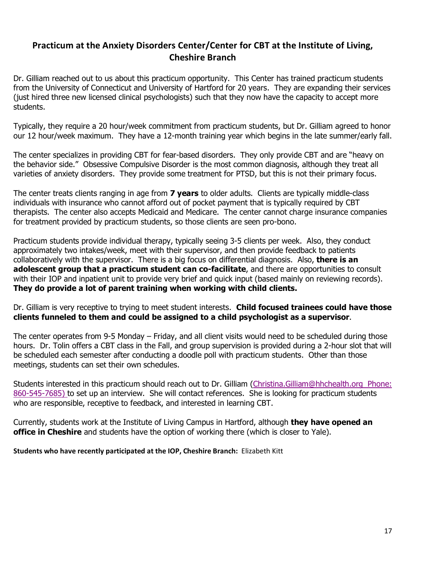# **Practicum at the Anxiety Disorders Center/Center for CBT at the Institute of Living, Cheshire Branch**

Dr. Gilliam reached out to us about this practicum opportunity. This Center has trained practicum students from the University of Connecticut and University of Hartford for 20 years. They are expanding their services (just hired three new licensed clinical psychologists) such that they now have the capacity to accept more students.

Typically, they require a 20 hour/week commitment from practicum students, but Dr. Gilliam agreed to honor our 12 hour/week maximum. They have a 12-month training year which begins in the late summer/early fall.

The center specializes in providing CBT for fear-based disorders. They only provide CBT and are "heavy on the behavior side." Obsessive Compulsive Disorder is the most common diagnosis, although they treat all varieties of anxiety disorders. They provide some treatment for PTSD, but this is not their primary focus.

The center treats clients ranging in age from **7 years** to older adults. Clients are typically middle-class individuals with insurance who cannot afford out of pocket payment that is typically required by CBT therapists. The center also accepts Medicaid and Medicare. The center cannot charge insurance companies for treatment provided by practicum students, so those clients are seen pro-bono.

Practicum students provide individual therapy, typically seeing 3-5 clients per week. Also, they conduct approximately two intakes/week, meet with their supervisor, and then provide feedback to patients collaboratively with the supervisor. There is a big focus on differential diagnosis. Also, **there is an adolescent group that a practicum student can co-facilitate**, and there are opportunities to consult with their IOP and inpatient unit to provide very brief and quick input (based mainly on reviewing records). **They do provide a lot of parent training when working with child clients.** 

Dr. Gilliam is very receptive to trying to meet student interests. **Child focused trainees could have those clients funneled to them and could be assigned to a child psychologist as a supervisor**.

The center operates from 9-5 Monday – Friday, and all client visits would need to be scheduled during those hours. Dr. Tolin offers a CBT class in the Fall, and group supervision is provided during a 2-hour slot that will be scheduled each semester after conducting a doodle poll with practicum students. Other than those meetings, students can set their own schedules.

Students interested in this practicum should reach out to Dr. Gilliam (Christina.Gilliam@hhchealth.org Phone: 860-545-7685) to set up an interview. She will contact references. She is looking for practicum students who are responsible, receptive to feedback, and interested in learning CBT.

Currently, students work at the Institute of Living Campus in Hartford, although **they have opened an office in Cheshire** and students have the option of working there (which is closer to Yale).

**Students who have recently participated at the IOP, Cheshire Branch:** Elizabeth Kitt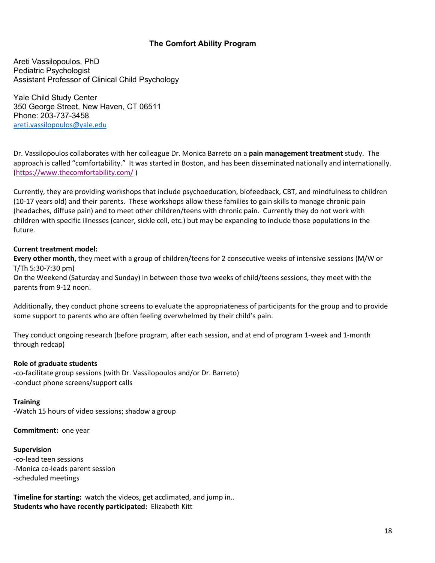### **The Comfort Ability Program**

Areti Vassilopoulos, PhD Pediatric Psychologist Assistant Professor of Clinical Child Psychology

Yale Child Study Center 350 George Street, New Haven, CT 06511 Phone: 203-737-3458 areti.vassilopoulos@yale.edu

Dr. Vassilopoulos collaborates with her colleague Dr. Monica Barreto on a **pain management treatment** study. The approach is called "comfortability." It was started in Boston, and has been disseminated nationally and internationally. (https://www.thecomfortability.com/ )

Currently, they are providing workshops that include psychoeducation, biofeedback, CBT, and mindfulness to children (10-17 years old) and their parents. These workshops allow these families to gain skills to manage chronic pain (headaches, diffuse pain) and to meet other children/teens with chronic pain. Currently they do not work with children with specific illnesses (cancer, sickle cell, etc.) but may be expanding to include those populations in the future.

### **Current treatment model:**

**Every other month,** they meet with a group of children/teens for 2 consecutive weeks of intensive sessions (M/W or T/Th 5:30-7:30 pm)

On the Weekend (Saturday and Sunday) in between those two weeks of child/teens sessions, they meet with the parents from 9-12 noon.

Additionally, they conduct phone screens to evaluate the appropriateness of participants for the group and to provide some support to parents who are often feeling overwhelmed by their child's pain.

They conduct ongoing research (before program, after each session, and at end of program 1-week and 1-month through redcap)

### **Role of graduate students**

-co-facilitate group sessions (with Dr. Vassilopoulos and/or Dr. Barreto) -conduct phone screens/support calls

**Training** -Watch 15 hours of video sessions; shadow a group

**Commitment:** one year

**Supervision** -co-lead teen sessions -Monica co-leads parent session -scheduled meetings

**Timeline for starting:** watch the videos, get acclimated, and jump in.. **Students who have recently participated:** Elizabeth Kitt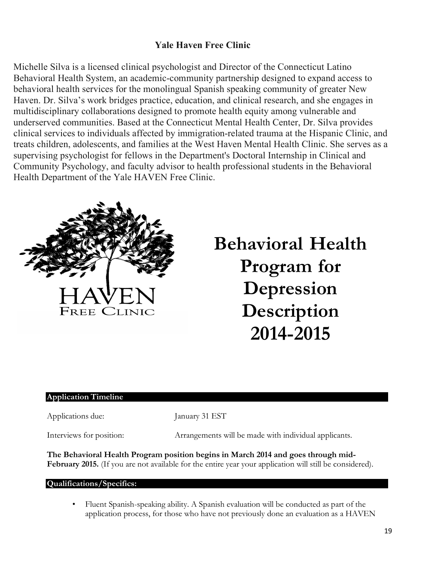# **Yale Haven Free Clinic**

Michelle Silva is a licensed clinical psychologist and Director of the Connecticut Latino Behavioral Health System, an academic-community partnership designed to expand access to behavioral health services for the monolingual Spanish speaking community of greater New Haven. Dr. Silva's work bridges practice, education, and clinical research, and she engages in multidisciplinary collaborations designed to promote health equity among vulnerable and underserved communities. Based at the Connecticut Mental Health Center, Dr. Silva provides clinical services to individuals affected by immigration-related trauma at the Hispanic Clinic, and treats children, adolescents, and families at the West Haven Mental Health Clinic. She serves as a supervising psychologist for fellows in the Department's Doctoral Internship in Clinical and Community Psychology, and faculty advisor to health professional students in the Behavioral Health Department of the Yale HAVEN Free Clinic.



# **Behavioral Health Program for Depression Description 2014-2015**

### **Application Timeline**

Applications due: January 31 EST

Interviews for position: Arrangements will be made with individual applicants.

**The Behavioral Health Program position begins in March 2014 and goes through mid-February 2015.** (If you are not available for the entire year your application will still be considered).

### **Qualifications/Specifics:**

• Fluent Spanish-speaking ability. A Spanish evaluation will be conducted as part of the application process, for those who have not previously done an evaluation as a HAVEN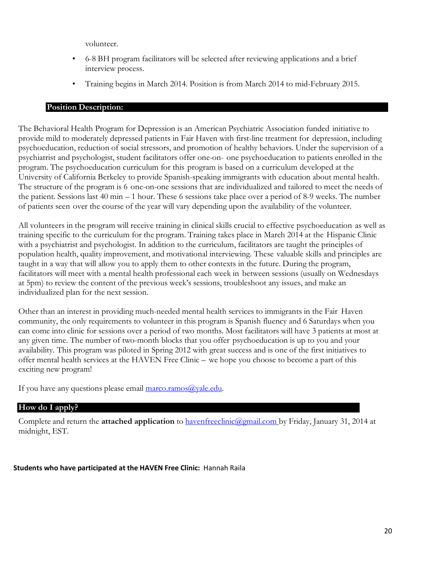volunteer.

- 6-8 BH program facilitators will be selected after reviewing applications and a brief interview process.
- Training begins in March 2014. Position is from March 2014 to mid-February 2015.

### **Position Description:**

The Behavioral Health Program for Depression is an American Psychiatric Association funded initiative to provide mild to moderately depressed patients in Fair Haven with first-line treatment for depression, including psychoeducation, reduction of social stressors, and promotion of healthy behaviors. Under the supervision of a psychiatrist and psychologist, student facilitators offer one-on- one psychoeducation to patients enrolled in the program. The psychoeducation curriculum for this program is based on a curriculum developed at the University of California Berkeley to provide Spanish-speaking immigrants with education about mental health. The structure of the program is 6 one-on-one sessions that are individualized and tailored to meet the needs of the patient. Sessions last 40 min – 1 hour. These 6 sessions take place over a period of 8-9 weeks. The number of patients seen over the course of the year will vary depending upon the availability of the volunteer.

All volunteers in the program will receive training in clinical skills crucial to effective psychoeducation as well as training specific to the curriculum for the program. Training takes place in March 2014 at the Hispanic Clinic with a psychiatrist and psychologist. In addition to the curriculum, facilitators are taught the principles of population health, quality improvement, and motivational interviewing. These valuable skills and principles are taught in a way that will allow you to apply them to other contexts in the future. During the program, facilitators will meet with a mental health professional each week in between sessions (usually on Wednesdays at 5pm) to review the content of the previous week's sessions, troubleshoot any issues, and make an individualized plan for the next session.

Other than an interest in providing much-needed mental health services to immigrants in the Fair Haven community, the only requirements to volunteer in this program is Spanish fluency and 6 Saturdays when you can come into clinic for sessions over a period of two months. Most facilitators will have 3 patients at most at any given time. The number of two-month blocks that you offer psychoeducation is up to you and your availability. This program was piloted in Spring 2012 with great success and is one of the first initiatives to offer mental health services at the HAVEN Free Clinic – we hope you choose to become a part of this exciting new program!

If you have any questions please email  $\frac{\text{macro}:\text{ramos}(a)}{\text{value}:\text{edu}}$ .

### **How do I apply?**

Complete and return the **attached application** to havenfreeclinic@gmail.com by Friday, January 31, 2014 at midnight, EST.

### **Students who have participated at the HAVEN Free Clinic:** Hannah Raila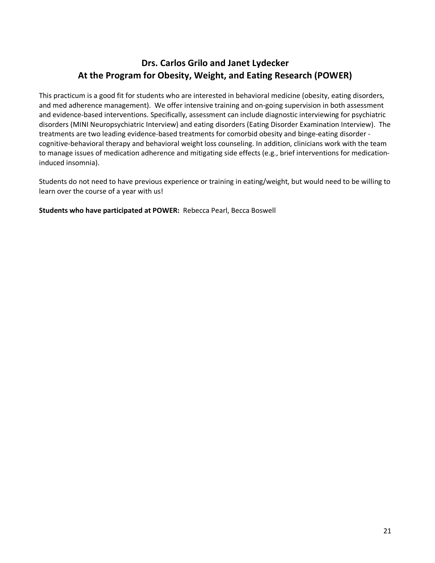# **Drs. Carlos Grilo and Janet Lydecker At the Program for Obesity, Weight, and Eating Research (POWER)**

This practicum is a good fit for students who are interested in behavioral medicine (obesity, eating disorders, and med adherence management). We offer intensive training and on-going supervision in both assessment and evidence-based interventions. Specifically, assessment can include diagnostic interviewing for psychiatric disorders (MINI Neuropsychiatric Interview) and eating disorders (Eating Disorder Examination Interview). The treatments are two leading evidence-based treatments for comorbid obesity and binge-eating disorder cognitive-behavioral therapy and behavioral weight loss counseling. In addition, clinicians work with the team to manage issues of medication adherence and mitigating side effects (e.g., brief interventions for medicationinduced insomnia).

Students do not need to have previous experience or training in eating/weight, but would need to be willing to learn over the course of a year with us!

**Students who have participated at POWER:** Rebecca Pearl, Becca Boswell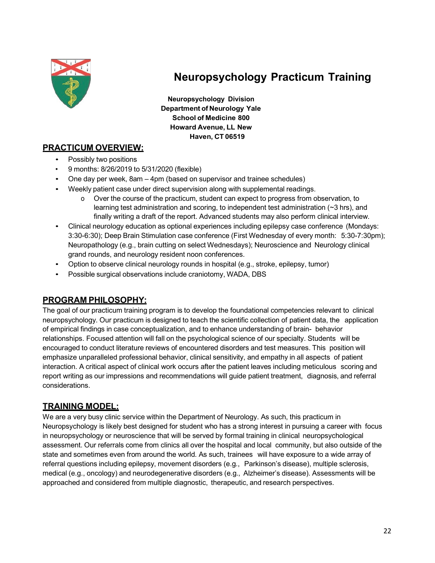

# **Neuropsychology Practicum Training**

**Neuropsychology Division Department of Neurology Yale School of Medicine 800 Howard Avenue, LL New Haven, CT 06519**

# **PRACTICUM OVERVIEW:**

- Possibly two positions
- 9 months: 8/26/2019 to 5/31/2020 (flexible)
- One day per week, 8am 4pm (based on supervisor and trainee schedules)
- Weekly patient case under direct supervision along with supplemental readings.
	- o Over the course of the practicum, student can expect to progress from observation, to learning test administration and scoring, to independent test administration  $(\sim 3 \text{ hrs})$ , and finally writing a draft of the report. Advanced students may also perform clinical interview.
- Clinical neurology education as optional experiences including epilepsy case conference (Mondays: 3:30-6:30); Deep Brain Stimulation case conference (First Wednesday of every month: 5:30-7:30pm); Neuropathology (e.g., brain cutting on select Wednesdays); Neuroscience and Neurology clinical grand rounds, and neurology resident noon conferences.
- Option to observe clinical neurology rounds in hospital (e.g., stroke, epilepsy, tumor)
- Possible surgical observations include craniotomy, WADA, DBS

### **PROGRAM PHILOSOPHY:**

The goal of our practicum training program is to develop the foundational competencies relevant to clinical neuropsychology. Our practicum is designed to teach the scientific collection of patient data, the application of empirical findings in case conceptualization, and to enhance understanding of brain- behavior relationships. Focused attention will fall on the psychological science of our specialty. Students will be encouraged to conduct literature reviews of encountered disorders and test measures. This position will emphasize unparalleled professional behavior, clinical sensitivity, and empathy in all aspects of patient interaction. A critical aspect of clinical work occurs after the patient leaves including meticulous scoring and report writing as our impressions and recommendations will guide patient treatment, diagnosis, and referral considerations.

# **TRAINING MODEL:**

We are a very busy clinic service within the Department of Neurology. As such, this practicum in Neuropsychology is likely best designed for student who has a strong interest in pursuing a career with focus in neuropsychology or neuroscience that will be served by formal training in clinical neuropsychological assessment. Our referrals come from clinics all over the hospital and local community, but also outside of the state and sometimes even from around the world. As such, trainees will have exposure to a wide array of referral questions including epilepsy, movement disorders (e.g., Parkinson's disease), multiple sclerosis, medical (e.g., oncology) and neurodegenerative disorders (e.g., Alzheimer's disease). Assessments will be approached and considered from multiple diagnostic, therapeutic, and research perspectives.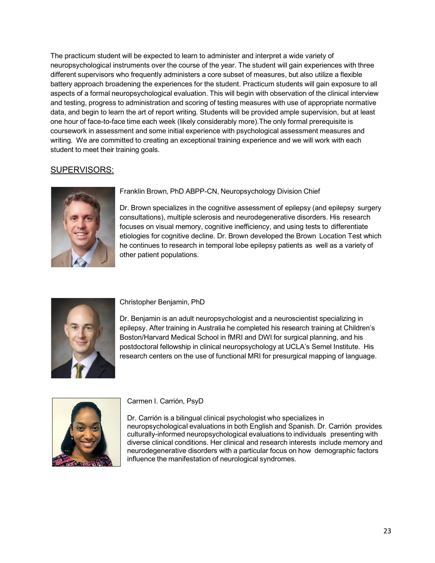The practicum student will be expected to learn to administer and interpret a wide variety of neuropsychological instruments over the course of the year. The student will gain experiences with three different supervisors who frequently administers a core subset of measures, but also utilize a flexible battery approach broadening the experiences for the student. Practicum students will gain exposure to all aspects of a formal neuropsychological evaluation. This will begin with observation of the clinical interview and testing, progress to administration and scoring of testing measures with use of appropriate normative data, and begin to learn the art of report writing. Students will be provided ample supervision, but at least one hour of face-to-face time each week (likely considerably more).The only formal prerequisite is coursework in assessment and some initial experience with psychological assessment measures and writing. We are committed to creating an exceptional training experience and we will work with each student to meet their training goals.

# SUPERVISORS:



Franklin Brown, PhD ABPP-CN, Neuropsychology Division Chief

Dr. Brown specializes in the cognitive assessment of epilepsy (and epilepsy surgery consultations), multiple sclerosis and neurodegenerative disorders. His research focuses on visual memory, cognitive inefficiency, and using tests to differentiate etiologies for cognitive decline. Dr. Brown developed the Brown Location Test which he continues to research in temporal lobe epilepsy patients as well as a variety of other patient populations.



Christopher Benjamin, PhD

Dr. Benjamin is an adult neuropsychologist and a neuroscientist specializing in epilepsy. After training in Australia he completed his research training at Children's Boston/Harvard Medical School in fMRI and DWI for surgical planning, and his postdoctoral fellowship in clinical neuropsychology at UCLA's Semel Institute. His research centers on the use of functional MRI for presurgical mapping of language.



Carmen I. Carrión, PsyD

Dr. Carrión is a bilingual clinical psychologist who specializes in neuropsychological evaluations in both English and Spanish. Dr. Carrión provides culturally-informed neuropsychological evaluations to individuals presenting with diverse clinical conditions. Her clinical and research interests include memory and neurodegenerative disorders with a particular focus on how demographic factors influence the manifestation of neurological syndromes.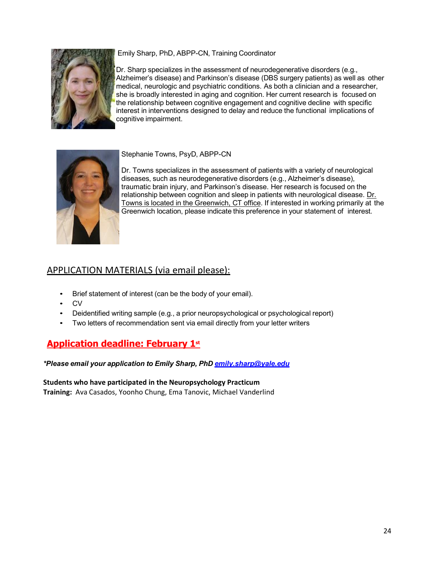# Emily Sharp, PhD, ABPP-CN, Training Coordinator



Dr. Sharp specializes in the assessment of neurodegenerative disorders (e.g., Alzheimer's disease) and Parkinson's disease (DBS surgery patients) as well as other medical, neurologic and psychiatric conditions. As both a clinician and a researcher, she is broadly interested in aging and cognition. Her current research is focused on the relationship between cognitive engagement and cognitive decline with specific interest in interventions designed to delay and reduce the functional implications of cognitive impairment.



Stephanie Towns, PsyD, ABPP-CN

Dr. Towns specializes in the assessment of patients with a variety of neurological diseases, such as neurodegenerative disorders (e.g., Alzheimer's disease), traumatic brain injury, and Parkinson's disease. Her research is focused on the relationship between cognition and sleep in patients with neurological disease. Dr. Towns is located in the Greenwich, CT office. If interested in working primarily at the Greenwich location, please indicate this preference in your statement of interest.

# APPLICATION MATERIALS (via email please):

- Brief statement of interest (can be the body of your email).
- CV
- Deidentified writing sample (e.g., a prior neuropsychological or psychological report)
- Two letters of recommendation sent via email directly from your letter writers

# **Application deadline: February 1st**

*\*Please email your application to Emily Sharp, PhD emily.sharp@yale.edu*

**Students who have participated in the Neuropsychology Practicum Training:** Ava Casados, Yoonho Chung, Ema Tanovic, Michael Vanderlind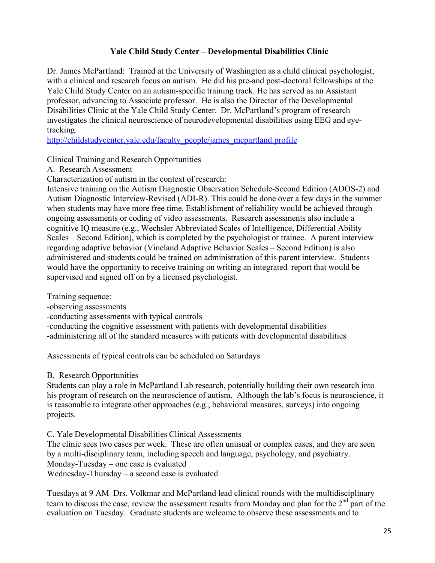# **Yale Child Study Center – Developmental Disabilities Clinic**

Dr. James McPartland: Trained at the University of Washington as a child clinical psychologist, with a clinical and research focus on autism. He did his pre-and post-doctoral fellowships at the Yale Child Study Center on an autism-specific training track. He has served as an Assistant professor, advancing to Associate professor. He is also the Director of the Developmental Disabilities Clinic at the Yale Child Study Center. Dr. McPartland's program of research investigates the clinical neuroscience of neurodevelopmental disabilities using EEG and eyetracking.

http://childstudycenter.yale.edu/faculty\_people/james\_mcpartland.profile

Clinical Training and Research Opportunities

A. Research Assessment

Characterization of autism in the context of research:

Intensive training on the Autism Diagnostic Observation Schedule-Second Edition (ADOS-2) and Autism Diagnostic Interview-Revised (ADI-R). This could be done over a few days in the summer when students may have more free time. Establishment of reliability would be achieved through ongoing assessments or coding of video assessments. Research assessments also include a cognitive IQ measure (e.g., Wechsler Abbreviated Scales of Intelligence, Differential Ability Scales – Second Edition), which is completed by the psychologist or trainee. A parent interview regarding adaptive behavior (Vineland Adaptive Behavior Scales – Second Edition) is also administered and students could be trained on administration of this parent interview. Students would have the opportunity to receive training on writing an integrated report that would be supervised and signed off on by a licensed psychologist.

Training sequence:

-observing assessments

-conducting assessments with typical controls

-conducting the cognitive assessment with patients with developmental disabilities

-administering all of the standard measures with patients with developmental disabilities

Assessments of typical controls can be scheduled on Saturdays

B. Research Opportunities

Students can play a role in McPartland Lab research, potentially building their own research into his program of research on the neuroscience of autism. Although the lab's focus is neuroscience, it is reasonable to integrate other approaches (e.g., behavioral measures, surveys) into ongoing projects.

C. Yale Developmental Disabilities Clinical Assessments

The clinic sees two cases per week. These are often unusual or complex cases, and they are seen by a multi-disciplinary team, including speech and language, psychology, and psychiatry. Monday-Tuesday – one case is evaluated Wednesday-Thursday – a second case is evaluated

Tuesdays at 9 AM Drs. Volkmar and McPartland lead clinical rounds with the multidisciplinary team to discuss the case, review the assessment results from Monday and plan for the 2<sup>nd</sup> part of the evaluation on Tuesday. Graduate students are welcome to observe these assessments and to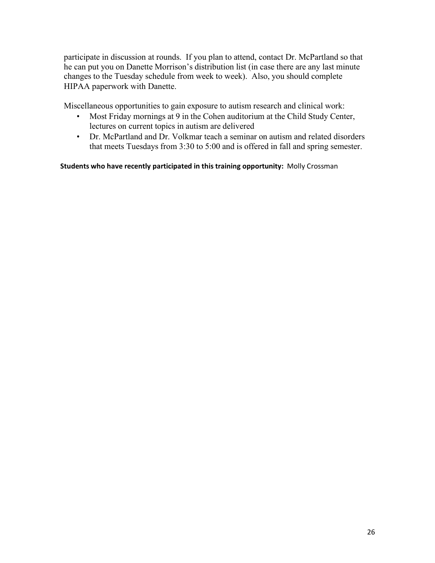participate in discussion at rounds. If you plan to attend, contact Dr. McPartland so that he can put you on Danette Morrison's distribution list (in case there are any last minute changes to the Tuesday schedule from week to week). Also, you should complete HIPAA paperwork with Danette.

Miscellaneous opportunities to gain exposure to autism research and clinical work:

- Most Friday mornings at 9 in the Cohen auditorium at the Child Study Center, lectures on current topics in autism are delivered
- Dr. McPartland and Dr. Volkmar teach a seminar on autism and related disorders that meets Tuesdays from 3:30 to 5:00 and is offered in fall and spring semester.

### **Students who have recently participated in this training opportunity:** Molly Crossman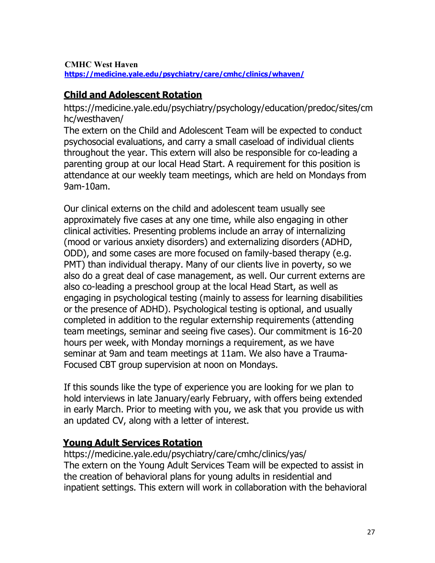# **CMHC West Haven**

 **https://medicine.yale.edu/psychiatry/care/cmhc/clinics/whaven/**

# **Child and Adolescent Rotation**

https://medicine.yale.edu/psychiatry/psychology/education/predoc/sites/cm hc/westhaven/

The extern on the Child and Adolescent Team will be expected to conduct psychosocial evaluations, and carry a small caseload of individual clients throughout the year. This extern will also be responsible for co-leading a parenting group at our local Head Start. A requirement for this position is attendance at our weekly team meetings, which are held on Mondays from 9am-10am.

Our clinical externs on the child and adolescent team usually see approximately five cases at any one time, while also engaging in other clinical activities. Presenting problems include an array of internalizing (mood or various anxiety disorders) and externalizing disorders (ADHD, ODD), and some cases are more focused on family-based therapy (e.g. PMT) than individual therapy. Many of our clients live in poverty, so we also do a great deal of case management, as well. Our current externs are also co-leading a preschool group at the local Head Start, as well as engaging in psychological testing (mainly to assess for learning disabilities or the presence of ADHD). Psychological testing is optional, and usually completed in addition to the regular externship requirements (attending team meetings, seminar and seeing five cases). Our commitment is 16-20 hours per week, with Monday mornings a requirement, as we have seminar at 9am and team meetings at 11am. We also have a Trauma-Focused CBT group supervision at noon on Mondays.

If this sounds like the type of experience you are looking for we plan to hold interviews in late January/early February, with offers being extended in early March. Prior to meeting with you, we ask that you provide us with an updated CV, along with a letter of interest.

# **Young Adult Services Rotation**

https://medicine.yale.edu/psychiatry/care/cmhc/clinics/yas/ The extern on the Young Adult Services Team will be expected to assist in the creation of behavioral plans for young adults in residential and inpatient settings. This extern will work in collaboration with the behavioral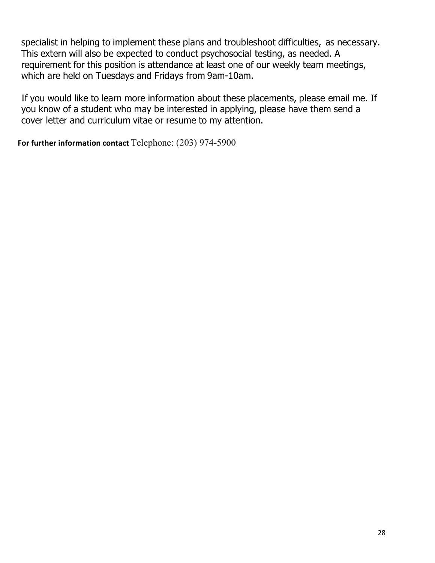specialist in helping to implement these plans and troubleshoot difficulties, as necessary. This extern will also be expected to conduct psychosocial testing, as needed. A requirement for this position is attendance at least one of our weekly team meetings, which are held on Tuesdays and Fridays from 9am-10am.

If you would like to learn more information about these placements, please email me. If you know of a student who may be interested in applying, please have them send a cover letter and curriculum vitae or resume to my attention.

**For further information contact** Telephone: (203) 974-5900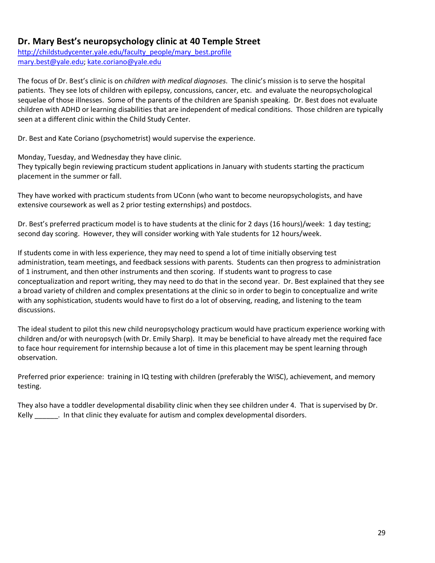# **Dr. Mary Best's neuropsychology clinic at 40 Temple Street**

http://childstudycenter.yale.edu/faculty\_people/mary\_best.profile mary.best@yale.edu; kate.coriano@yale.edu

The focus of Dr. Best's clinic is on *children with medical diagnoses*. The clinic's mission is to serve the hospital patients. They see lots of children with epilepsy, concussions, cancer, etc. and evaluate the neuropsychological sequelae of those illnesses. Some of the parents of the children are Spanish speaking. Dr. Best does not evaluate children with ADHD or learning disabilities that are independent of medical conditions. Those children are typically seen at a different clinic within the Child Study Center.

Dr. Best and Kate Coriano (psychometrist) would supervise the experience.

Monday, Tuesday, and Wednesday they have clinic. They typically begin reviewing practicum student applications in January with students starting the practicum placement in the summer or fall.

They have worked with practicum students from UConn (who want to become neuropsychologists, and have extensive coursework as well as 2 prior testing externships) and postdocs.

Dr. Best's preferred practicum model is to have students at the clinic for 2 days (16 hours)/week: 1 day testing; second day scoring. However, they will consider working with Yale students for 12 hours/week.

If students come in with less experience, they may need to spend a lot of time initially observing test administration, team meetings, and feedback sessions with parents. Students can then progress to administration of 1 instrument, and then other instruments and then scoring. If students want to progress to case conceptualization and report writing, they may need to do that in the second year. Dr. Best explained that they see a broad variety of children and complex presentations at the clinic so in order to begin to conceptualize and write with any sophistication, students would have to first do a lot of observing, reading, and listening to the team discussions.

The ideal student to pilot this new child neuropsychology practicum would have practicum experience working with children and/or with neuropsych (with Dr. Emily Sharp). It may be beneficial to have already met the required face to face hour requirement for internship because a lot of time in this placement may be spent learning through observation.

Preferred prior experience: training in IQ testing with children (preferably the WISC), achievement, and memory testing.

They also have a toddler developmental disability clinic when they see children under 4. That is supervised by Dr. Kelly [15] . In that clinic they evaluate for autism and complex developmental disorders.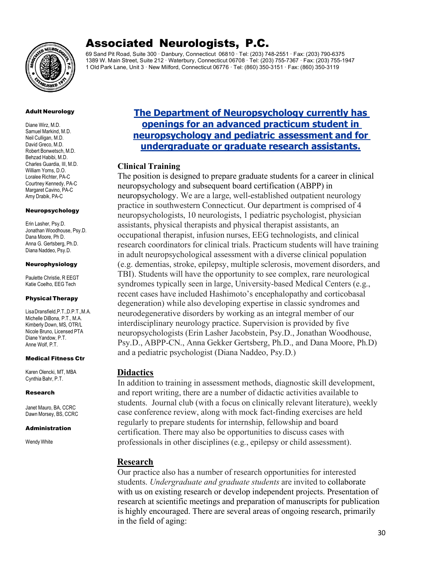

# Associated Neurologists, P.C.

69 Sand Pit Road, Suite 300 · Danbury, Connecticut 06810 · Tel: (203) 748-2551 · Fax: (203) 790-6375 1389 W. Main Street, Suite 212 · Waterbury, Connecticut 06708 · Tel: (203) 755-7367 · Fax: (203) 755-1947 1 Old Park Lane, Unit 3 · New Milford, Connecticut 06776 · Tel: (860) 350-3151 · Fax: (860) 350-3119

### Adult Neurology

Diane Wirz, M.D. Samuel Markind, M.D. Neil Culligan, M.D. David Greco, M.D. Robert Bonwetsch,M.D. Behzad Habibi, M.D. Charles Guardia, III, M.D. William Yorns, D.O. Loralee Richter, PA-C Courtney Kennedy, PA-C Margaret Cavino, PA-C Amy Drabik, PA-C

#### Neuropsychology

Erin Lasher, Psy.D. Jonathan Woodhouse, Psy.D. Dana Moore, Ph D. Anna G. Gertsberg, Ph.D. Diana Naddeo, Psy.D.

### Neurophysiology

Paulette Christie, R EEGT Katie Coelho, EEG Tech

### Physical Therapy

LisaDransfield,P.T.,D.P.T.,M.A. Michelle DiBona, P.T., M.A. Kimberly Down, MS, OTR/L Nicole Bruno, Licensed PTA Diane Yandow, P.T. Anne Wolf, P.T.

### Medical Fitness Ctr

Karen Olencki, MT, MBA Cynthia Bahr, P.T.

### Research

Janet Mauro, BA, CCRC Dawn Morsey, BS, CCRC

### Administration

Wendy White

# **The Department of Neuropsychology currently has openings for an advanced practicum student in neuropsychology and pediatric assessment and for undergraduate or graduate research assistants.**

### **Clinical Training**

The position is designed to prepare graduate students for a career in clinical neuropsychology and subsequent board certification (ABPP) in neuropsychology. We are a large, well-established outpatient neurology practice in southwestern Connecticut. Our department is comprised of 4 neuropsychologists, 10 neurologists, 1 pediatric psychologist, physician assistants, physical therapists and physical therapist assistants, an occupational therapist, infusion nurses, EEG technologists, and clinical research coordinators for clinical trials. Practicum students will have training in adult neuropsychological assessment with a diverse clinical population (e.g. dementias, stroke, epilepsy, multiple sclerosis, movement disorders, and TBI). Students will have the opportunity to see complex, rare neurological syndromes typically seen in large, University-based Medical Centers (e.g., recent cases have included Hashimoto's encephalopathy and corticobasal degeneration) while also developing expertise in classic syndromes and neurodegenerative disorders by working as an integral member of our interdisciplinary neurology practice. Supervision is provided by five neuropsychologists (Erin Lasher Jacobstein, Psy.D., Jonathan Woodhouse, Psy.D., ABPP-CN., Anna Gekker Gertsberg, Ph.D., and Dana Moore, Ph.D) and a pediatric psychologist (Diana Naddeo, Psy.D.)

### **Didactics**

In addition to training in assessment methods, diagnostic skill development, and report writing, there are a number of didactic activities available to students. Journal club (with a focus on clinically relevant literature), weekly case conference review, along with mock fact-finding exercises are held regularly to prepare students for internship, fellowship and board certification. There may also be opportunities to discuss cases with professionals in other disciplines (e.g., epilepsy or child assessment).

### **Research**

Our practice also has a number of research opportunities for interested students. *Undergraduate and graduate students* are invited to collaborate with us on existing research or develop independent projects. Presentation of research at scientific meetings and preparation of manuscripts for publication is highly encouraged. There are several areas of ongoing research, primarily in the field of aging: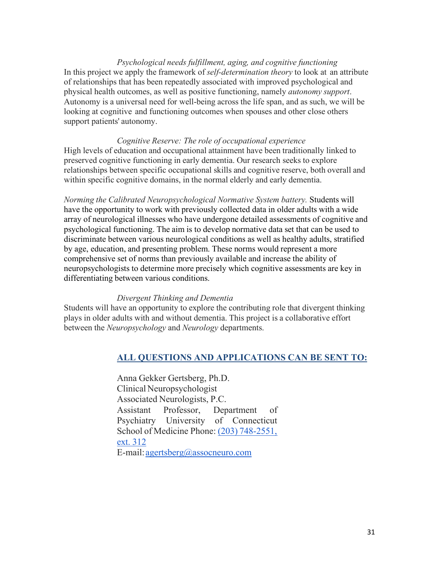*Psychological needs fulfillment, aging, and cognitive functioning* In this project we apply the framework of *self-determination theory* to look at an attribute of relationships that has been repeatedly associated with improved psychological and physical health outcomes, as well as positive functioning, namely *autonomy support*. Autonomy is a universal need for well-being across the life span, and as such, we will be looking at cognitive and functioning outcomes when spouses and other close others support patients' autonomy.

### *Cognitive Reserve: The role of occupational experience*

High levels of education and occupational attainment have been traditionally linked to preserved cognitive functioning in early dementia. Our research seeks to explore relationships between specific occupational skills and cognitive reserve, both overall and within specific cognitive domains, in the normal elderly and early dementia.

*Norming the Calibrated Neuropsychological Normative System battery.* Students will have the opportunity to work with previously collected data in older adults with a wide array of neurological illnesses who have undergone detailed assessments of cognitive and psychological functioning. The aim is to develop normative data set that can be used to discriminate between various neurological conditions as well as healthy adults, stratified by age, education, and presenting problem. These norms would represent a more comprehensive set of norms than previously available and increase the ability of neuropsychologists to determine more precisely which cognitive assessments are key in differentiating between various conditions.

### *Divergent Thinking and Dementia*

Students will have an opportunity to explore the contributing role that divergent thinking plays in older adults with and without dementia. This project is a collaborative effort between the *Neuropsychology* and *Neurology* departments.

### **ALL QUESTIONS AND APPLICATIONS CAN BE SENT TO:**

Anna Gekker Gertsberg, Ph.D. Clinical Neuropsychologist Associated Neurologists, P.C. Assistant Professor, Department of Psychiatry University of Connecticut School of Medicine Phone: (203) 748-2551, ext. 312 E-mail:agertsberg@assocneuro.com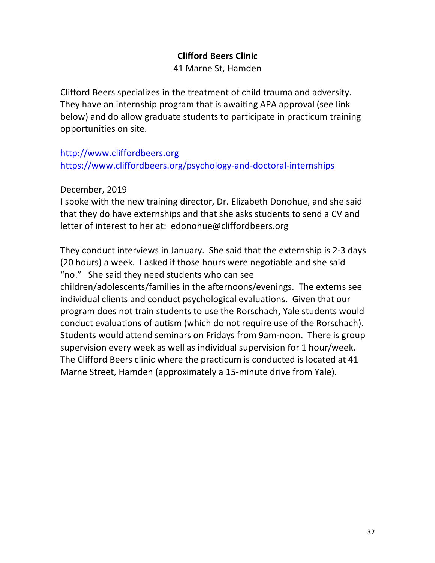# **Clifford Beers Clinic**

41 Marne St, Hamden

Clifford Beers specializes in the treatment of child trauma and adversity. They have an internship program that is awaiting APA approval (see link below) and do allow graduate students to participate in practicum training opportunities on site.

http://www.cliffordbeers.org https://www.cliffordbeers.org/psychology-and-doctoral-internships

December, 2019

I spoke with the new training director, Dr. Elizabeth Donohue, and she said that they do have externships and that she asks students to send a CV and letter of interest to her at: edonohue@cliffordbeers.org

They conduct interviews in January. She said that the externship is 2-3 days (20 hours) a week. I asked if those hours were negotiable and she said "no." She said they need students who can see children/adolescents/families in the afternoons/evenings. The externs see individual clients and conduct psychological evaluations. Given that our program does not train students to use the Rorschach, Yale students would conduct evaluations of autism (which do not require use of the Rorschach). Students would attend seminars on Fridays from 9am-noon. There is group supervision every week as well as individual supervision for 1 hour/week. The Clifford Beers clinic where the practicum is conducted is located at 41 Marne Street, Hamden (approximately a 15-minute drive from Yale).